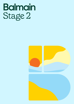## **Balmain** Stage 2